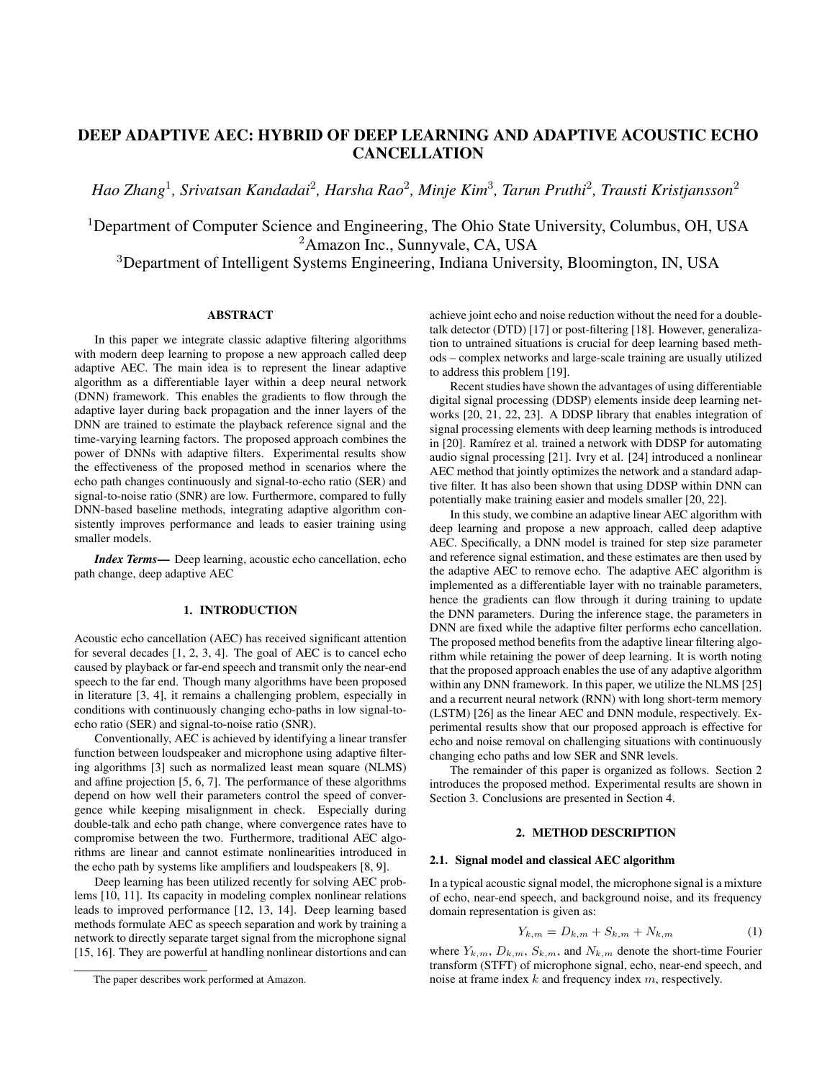# DEEP ADAPTIVE AEC: HYBRID OF DEEP LEARNING AND ADAPTIVE ACOUSTIC ECHO **CANCELLATION**

*Hao Zhang*<sup>1</sup> *, Srivatsan Kandadai*<sup>2</sup> *, Harsha Rao*<sup>2</sup> *, Minje Kim*<sup>3</sup> *, Tarun Pruthi*<sup>2</sup> *, Trausti Kristjansson*<sup>2</sup>

<sup>1</sup>Department of Computer Science and Engineering, The Ohio State University, Columbus, OH, USA <sup>2</sup>Amazon Inc., Sunnyvale, CA, USA

<sup>3</sup>Department of Intelligent Systems Engineering, Indiana University, Bloomington, IN, USA

## ABSTRACT

In this paper we integrate classic adaptive filtering algorithms with modern deep learning to propose a new approach called deep adaptive AEC. The main idea is to represent the linear adaptive algorithm as a differentiable layer within a deep neural network (DNN) framework. This enables the gradients to flow through the adaptive layer during back propagation and the inner layers of the DNN are trained to estimate the playback reference signal and the time-varying learning factors. The proposed approach combines the power of DNNs with adaptive filters. Experimental results show the effectiveness of the proposed method in scenarios where the echo path changes continuously and signal-to-echo ratio (SER) and signal-to-noise ratio (SNR) are low. Furthermore, compared to fully DNN-based baseline methods, integrating adaptive algorithm consistently improves performance and leads to easier training using smaller models.

*Index Terms*— Deep learning, acoustic echo cancellation, echo path change, deep adaptive AEC

## 1. INTRODUCTION

Acoustic echo cancellation (AEC) has received significant attention for several decades [1, 2, 3, 4]. The goal of AEC is to cancel echo caused by playback or far-end speech and transmit only the near-end speech to the far end. Though many algorithms have been proposed in literature [3, 4], it remains a challenging problem, especially in conditions with continuously changing echo-paths in low signal-toecho ratio (SER) and signal-to-noise ratio (SNR).

Conventionally, AEC is achieved by identifying a linear transfer function between loudspeaker and microphone using adaptive filtering algorithms [3] such as normalized least mean square (NLMS) and affine projection [5, 6, 7]. The performance of these algorithms depend on how well their parameters control the speed of convergence while keeping misalignment in check. Especially during double-talk and echo path change, where convergence rates have to compromise between the two. Furthermore, traditional AEC algorithms are linear and cannot estimate nonlinearities introduced in the echo path by systems like amplifiers and loudspeakers [8, 9].

Deep learning has been utilized recently for solving AEC problems [10, 11]. Its capacity in modeling complex nonlinear relations leads to improved performance [12, 13, 14]. Deep learning based methods formulate AEC as speech separation and work by training a network to directly separate target signal from the microphone signal [15, 16]. They are powerful at handling nonlinear distortions and can achieve joint echo and noise reduction without the need for a doubletalk detector (DTD) [17] or post-filtering [18]. However, generalization to untrained situations is crucial for deep learning based methods – complex networks and large-scale training are usually utilized to address this problem [19].

Recent studies have shown the advantages of using differentiable digital signal processing (DDSP) elements inside deep learning networks [20, 21, 22, 23]. A DDSP library that enables integration of signal processing elements with deep learning methods is introduced in [20]. Ramírez et al. trained a network with DDSP for automating audio signal processing [21]. Ivry et al. [24] introduced a nonlinear AEC method that jointly optimizes the network and a standard adaptive filter. It has also been shown that using DDSP within DNN can potentially make training easier and models smaller [20, 22].

In this study, we combine an adaptive linear AEC algorithm with deep learning and propose a new approach, called deep adaptive AEC. Specifically, a DNN model is trained for step size parameter and reference signal estimation, and these estimates are then used by the adaptive AEC to remove echo. The adaptive AEC algorithm is implemented as a differentiable layer with no trainable parameters, hence the gradients can flow through it during training to update the DNN parameters. During the inference stage, the parameters in DNN are fixed while the adaptive filter performs echo cancellation. The proposed method benefits from the adaptive linear filtering algorithm while retaining the power of deep learning. It is worth noting that the proposed approach enables the use of any adaptive algorithm within any DNN framework. In this paper, we utilize the NLMS [25] and a recurrent neural network (RNN) with long short-term memory (LSTM) [26] as the linear AEC and DNN module, respectively. Experimental results show that our proposed approach is effective for echo and noise removal on challenging situations with continuously changing echo paths and low SER and SNR levels.

The remainder of this paper is organized as follows. Section 2 introduces the proposed method. Experimental results are shown in Section 3. Conclusions are presented in Section 4.

## 2. METHOD DESCRIPTION

#### 2.1. Signal model and classical AEC algorithm

In a typical acoustic signal model, the microphone signal is a mixture of echo, near-end speech, and background noise, and its frequency domain representation is given as:

$$
Y_{k,m} = D_{k,m} + S_{k,m} + N_{k,m}
$$
 (1)

where  $Y_{k,m}$ ,  $D_{k,m}$ ,  $S_{k,m}$ , and  $N_{k,m}$  denote the short-time Fourier transform (STFT) of microphone signal, echo, near-end speech, and noise at frame index k and frequency index m, respectively.

The paper describes work performed at Amazon.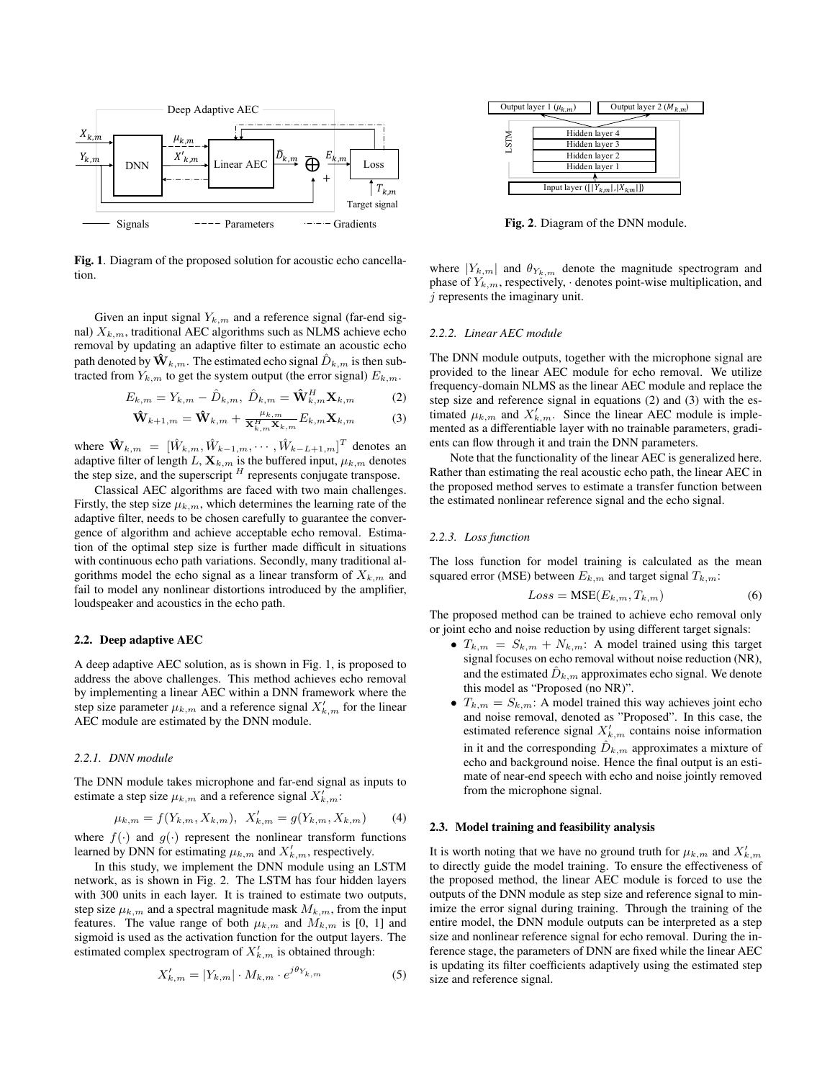

Fig. 1. Diagram of the proposed solution for acoustic echo cancellation.

Given an input signal  $Y_{k,m}$  and a reference signal (far-end signal)  $X_{k,m}$ , traditional AEC algorithms such as NLMS achieve echo removal by updating an adaptive filter to estimate an acoustic echo path denoted by  $\mathbf{\hat{W}}_{k,m}$ . The estimated echo signal  $\hat{D}_{k,m}$  is then subtracted from  $Y_{k,m}$  to get the system output (the error signal)  $E_{k,m}$ .

$$
E_{k,m} = Y_{k,m} - \hat{D}_{k,m}, \ \hat{D}_{k,m} = \mathbf{\hat{W}}_{k,m}^H \mathbf{X}_{k,m} \tag{2}
$$

$$
\hat{\mathbf{W}}_{k+1,m} = \hat{\mathbf{W}}_{k,m} + \frac{\mu_{k,m}}{\mathbf{X}_{k,m}^H \mathbf{X}_{k,m}} E_{k,m} \mathbf{X}_{k,m}
$$
(3)

where  $\mathbf{\hat{W}}_{k,m} = [\hat{W}_{k,m}, \hat{W}_{k-1,m}, \cdots, \hat{W}_{k-L+1,m}]^T$  denotes an adaptive filter of length L,  $\mathbf{X}_{k,m}$  is the buffered input,  $\mu_{k,m}$  denotes the step size, and the superscript  $<sup>H</sup>$  represents conjugate transpose.</sup>

Classical AEC algorithms are faced with two main challenges. Firstly, the step size  $\mu_{k,m}$ , which determines the learning rate of the adaptive filter, needs to be chosen carefully to guarantee the convergence of algorithm and achieve acceptable echo removal. Estimation of the optimal step size is further made difficult in situations with continuous echo path variations. Secondly, many traditional algorithms model the echo signal as a linear transform of  $X_{k,m}$  and fail to model any nonlinear distortions introduced by the amplifier, loudspeaker and acoustics in the echo path.

#### 2.2. Deep adaptive AEC

A deep adaptive AEC solution, as is shown in Fig. 1, is proposed to address the above challenges. This method achieves echo removal by implementing a linear AEC within a DNN framework where the step size parameter  $\mu_{k,m}$  and a reference signal  $X'_{k,m}$  for the linear AEC module are estimated by the DNN module.

#### *2.2.1. DNN module*

The DNN module takes microphone and far-end signal as inputs to estimate a step size  $\mu_{k,m}$  and a reference signal  $X'_{k,m}$ :

$$
\mu_{k,m} = f(Y_{k,m}, X_{k,m}), \ X'_{k,m} = g(Y_{k,m}, X_{k,m}) \tag{4}
$$

where  $f(\cdot)$  and  $g(\cdot)$  represent the nonlinear transform functions learned by DNN for estimating  $\mu_{k,m}$  and  $X'_{k,m}$ , respectively.

In this study, we implement the DNN module using an LSTM network, as is shown in Fig. 2. The LSTM has four hidden layers with 300 units in each layer. It is trained to estimate two outputs, step size  $\mu_{k,m}$  and a spectral magnitude mask  $M_{k,m}$ , from the input features. The value range of both  $\mu_{k,m}$  and  $M_{k,m}$  is [0, 1] and sigmoid is used as the activation function for the output layers. The estimated complex spectrogram of  $X'_{k,m}$  is obtained through:

$$
X'_{k,m} = |Y_{k,m}| \cdot M_{k,m} \cdot e^{j\theta_{Y_{k,m}}}
$$
 (5)



Fig. 2. Diagram of the DNN module.

where  $|Y_{k,m}|$  and  $\theta_{Y_{k,m}}$  denote the magnitude spectrogram and phase of  $Y_{k,m}$ , respectively,  $\cdot$  denotes point-wise multiplication, and j represents the imaginary unit.

#### *2.2.2. Linear AEC module*

The DNN module outputs, together with the microphone signal are provided to the linear AEC module for echo removal. We utilize frequency-domain NLMS as the linear AEC module and replace the step size and reference signal in equations (2) and (3) with the estimated  $\mu_{k,m}$  and  $X'_{k,m}$ . Since the linear AEC module is implemented as a differentiable layer with no trainable parameters, gradients can flow through it and train the DNN parameters.

Note that the functionality of the linear AEC is generalized here. Rather than estimating the real acoustic echo path, the linear AEC in the proposed method serves to estimate a transfer function between the estimated nonlinear reference signal and the echo signal.

## *2.2.3. Loss function*

The loss function for model training is calculated as the mean squared error (MSE) between  $E_{k,m}$  and target signal  $T_{k,m}$ :

$$
Loss = \text{MSE}(E_{k,m}, T_{k,m})\tag{6}
$$

The proposed method can be trained to achieve echo removal only or joint echo and noise reduction by using different target signals:

- $T_{k,m} = S_{k,m} + N_{k,m}$ : A model trained using this target signal focuses on echo removal without noise reduction (NR), and the estimated  $\hat{D}_{k,m}$  approximates echo signal. We denote this model as "Proposed (no NR)".
- $T_{k,m} = S_{k,m}$ : A model trained this way achieves joint echo and noise removal, denoted as "Proposed". In this case, the estimated reference signal  $X'_{k,m}$  contains noise information in it and the corresponding  $\hat{D}_{k,m}$  approximates a mixture of echo and background noise. Hence the final output is an estimate of near-end speech with echo and noise jointly removed from the microphone signal.

#### 2.3. Model training and feasibility analysis

It is worth noting that we have no ground truth for  $\mu_{k,m}$  and  $X'_{k,m}$ to directly guide the model training. To ensure the effectiveness of the proposed method, the linear AEC module is forced to use the outputs of the DNN module as step size and reference signal to minimize the error signal during training. Through the training of the entire model, the DNN module outputs can be interpreted as a step size and nonlinear reference signal for echo removal. During the inference stage, the parameters of DNN are fixed while the linear AEC is updating its filter coefficients adaptively using the estimated step size and reference signal.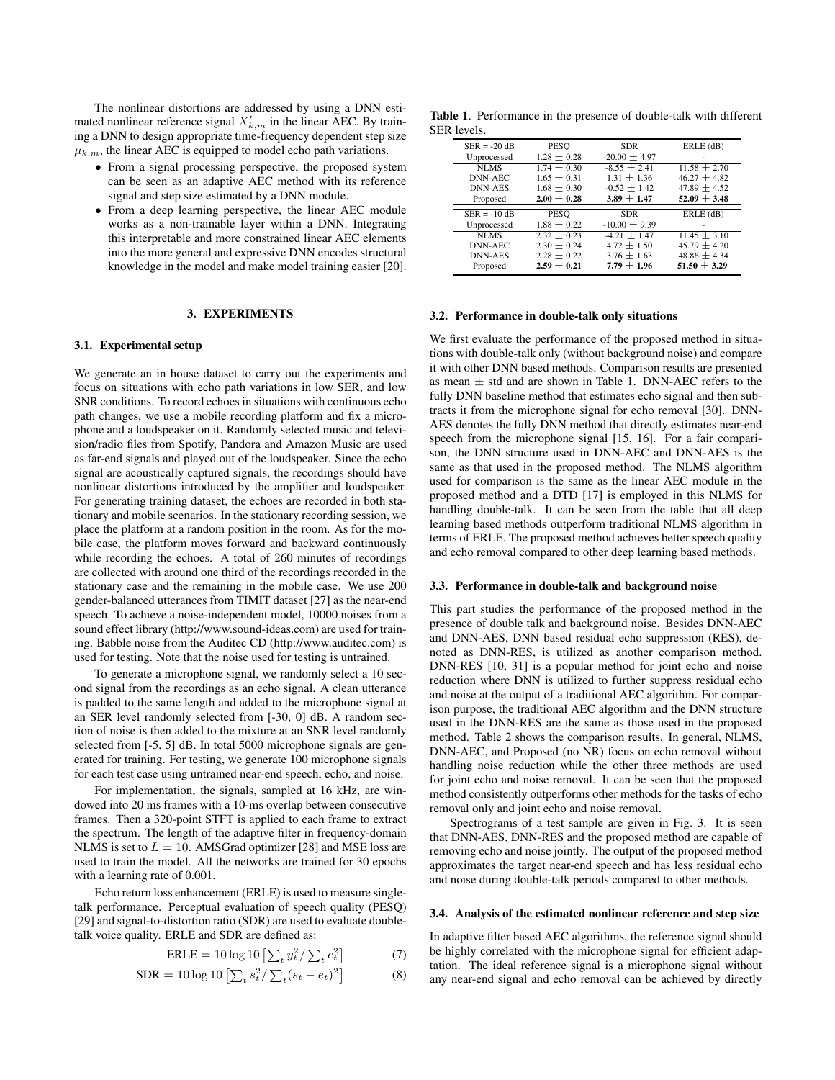The nonlinear distortions are addressed by using a DNN estimated nonlinear reference signal  $X'_{k,m}$  in the linear AEC. By training a DNN to design appropriate time-frequency dependent step size  $\mu_{k,m}$ , the linear AEC is equipped to model echo path variations.

- From a signal processing perspective, the proposed system can be seen as an adaptive AEC method with its reference signal and step size estimated by a DNN module.
- From a deep learning perspective, the linear AEC module works as a non-trainable layer within a DNN. Integrating this interpretable and more constrained linear AEC elements into the more general and expressive DNN encodes structural knowledge in the model and make model training easier [20].

## 3. EXPERIMENTS

### 3.1. Experimental setup

We generate an in house dataset to carry out the experiments and focus on situations with echo path variations in low SER, and low SNR conditions. To record echoes in situations with continuous echo path changes, we use a mobile recording platform and fix a microphone and a loudspeaker on it. Randomly selected music and television/radio files from Spotify, Pandora and Amazon Music are used as far-end signals and played out of the loudspeaker. Since the echo signal are acoustically captured signals, the recordings should have nonlinear distortions introduced by the amplifier and loudspeaker. For generating training dataset, the echoes are recorded in both stationary and mobile scenarios. In the stationary recording session, we place the platform at a random position in the room. As for the mobile case, the platform moves forward and backward continuously while recording the echoes. A total of 260 minutes of recordings are collected with around one third of the recordings recorded in the stationary case and the remaining in the mobile case. We use 200 gender-balanced utterances from TIMIT dataset [27] as the near-end speech. To achieve a noise-independent model, 10000 noises from a sound effect library (http://www.sound-ideas.com) are used for training. Babble noise from the Auditec CD (http://www.auditec.com) is used for testing. Note that the noise used for testing is untrained.

To generate a microphone signal, we randomly select a 10 second signal from the recordings as an echo signal. A clean utterance is padded to the same length and added to the microphone signal at an SER level randomly selected from [-30, 0] dB. A random section of noise is then added to the mixture at an SNR level randomly selected from [-5, 5] dB. In total 5000 microphone signals are generated for training. For testing, we generate 100 microphone signals for each test case using untrained near-end speech, echo, and noise.

For implementation, the signals, sampled at 16 kHz, are windowed into 20 ms frames with a 10-ms overlap between consecutive frames. Then a 320-point STFT is applied to each frame to extract the spectrum. The length of the adaptive filter in frequency-domain NLMS is set to  $L = 10$ . AMSGrad optimizer [28] and MSE loss are used to train the model. All the networks are trained for 30 epochs with a learning rate of 0.001.

Echo return loss enhancement (ERLE) is used to measure singletalk performance. Perceptual evaluation of speech quality (PESQ) [29] and signal-to-distortion ratio (SDR) are used to evaluate doubletalk voice quality. ERLE and SDR are defined as:

$$
ERLE = 10 \log 10 \left[ \sum_{t} y_t^2 / \sum_{t} e_t^2 \right] \tag{7}
$$

$$
SDR = 10 \log 10 \left[ \sum_{t} s_t^2 / \sum_{t} (s_t - e_t)^2 \right]
$$
 (8)

Table 1. Performance in the presence of double-talk with different SER levels.

| $SER = -20 dB$ | <b>PESO</b>     | <b>SDR</b>      | ERLE (dB)      |
|----------------|-----------------|-----------------|----------------|
| Unprocessed    | $1.28 \pm 0.28$ | $-20.00 + 4.97$ |                |
| <b>NLMS</b>    | $1.74 + 0.30$   | $-8.55 + 2.41$  | $11.58 + 2.70$ |
| <b>DNN-AEC</b> | $1.65 + 0.31$   | $1.31 + 1.36$   | $46.27 + 4.82$ |
| <b>DNN-AES</b> | $1.68 + 0.30$   | $-0.52 + 1.42$  | $47.89 + 4.52$ |
| Proposed       | $2.00 + 0.28$   | $3.89 + 1.47$   | $52.09 + 3.48$ |
|                |                 |                 |                |
|                |                 |                 |                |
| $SER = -10 dB$ | <b>PESO</b>     | <b>SDR</b>      | $ERLE$ (dB)    |
| Unprocessed    | $1.88 \pm 0.22$ | $-10.00 + 9.39$ |                |
| <b>NLMS</b>    | $2.32 + 0.23$   | $-4.21 + 1.47$  | $11.45 + 3.10$ |
| <b>DNN-AEC</b> | $2.30 + 0.24$   | $4.72 \pm 1.50$ | $45.79 + 4.20$ |
| <b>DNN-AES</b> | $2.28 + 0.22$   | $3.76 + 1.63$   | $48.86 + 4.34$ |

#### 3.2. Performance in double-talk only situations

We first evaluate the performance of the proposed method in situations with double-talk only (without background noise) and compare it with other DNN based methods. Comparison results are presented as mean  $\pm$  std and are shown in Table 1. DNN-AEC refers to the fully DNN baseline method that estimates echo signal and then subtracts it from the microphone signal for echo removal [30]. DNN-AES denotes the fully DNN method that directly estimates near-end speech from the microphone signal [15, 16]. For a fair comparison, the DNN structure used in DNN-AEC and DNN-AES is the same as that used in the proposed method. The NLMS algorithm used for comparison is the same as the linear AEC module in the proposed method and a DTD [17] is employed in this NLMS for handling double-talk. It can be seen from the table that all deep learning based methods outperform traditional NLMS algorithm in terms of ERLE. The proposed method achieves better speech quality and echo removal compared to other deep learning based methods.

#### 3.3. Performance in double-talk and background noise

This part studies the performance of the proposed method in the presence of double talk and background noise. Besides DNN-AEC and DNN-AES, DNN based residual echo suppression (RES), denoted as DNN-RES, is utilized as another comparison method. DNN-RES [10, 31] is a popular method for joint echo and noise reduction where DNN is utilized to further suppress residual echo and noise at the output of a traditional AEC algorithm. For comparison purpose, the traditional AEC algorithm and the DNN structure used in the DNN-RES are the same as those used in the proposed method. Table 2 shows the comparison results. In general, NLMS, DNN-AEC, and Proposed (no NR) focus on echo removal without handling noise reduction while the other three methods are used for joint echo and noise removal. It can be seen that the proposed method consistently outperforms other methods for the tasks of echo removal only and joint echo and noise removal.

Spectrograms of a test sample are given in Fig. 3. It is seen that DNN-AES, DNN-RES and the proposed method are capable of removing echo and noise jointly. The output of the proposed method approximates the target near-end speech and has less residual echo and noise during double-talk periods compared to other methods.

#### 3.4. Analysis of the estimated nonlinear reference and step size

In adaptive filter based AEC algorithms, the reference signal should be highly correlated with the microphone signal for efficient adaptation. The ideal reference signal is a microphone signal without any near-end signal and echo removal can be achieved by directly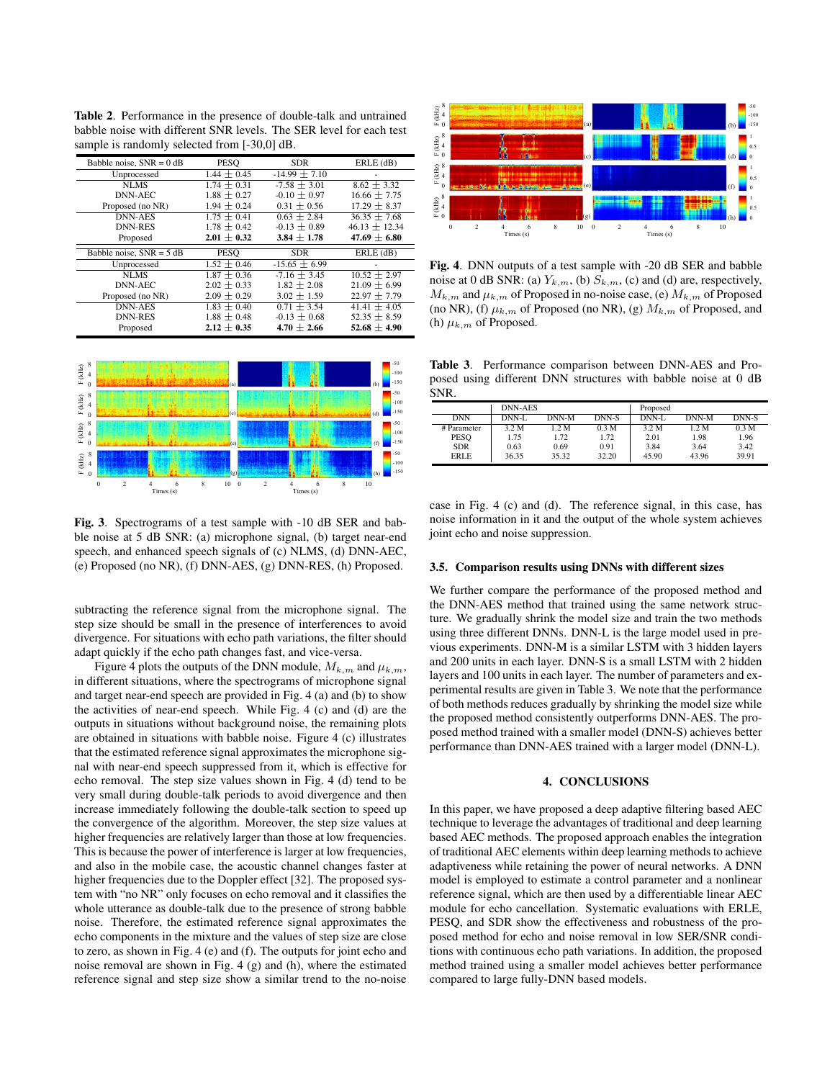Table 2. Performance in the presence of double-talk and untrained babble noise with different SNR levels. The SER level for each test sample is randomly selected from [-30,0] dB.

| Babble noise, $SNR = 0$ dB | PESO          | <b>SDR</b>      | $ERLE$ ( $dB$ ) |
|----------------------------|---------------|-----------------|-----------------|
| Unprocessed                | $1.44 + 0.45$ | $-14.99 + 7.10$ |                 |
| <b>NLMS</b>                | $1.74 + 0.31$ | $-7.58 + 3.01$  | $8.62 + 3.32$   |
| DNN-AEC                    | $1.88 + 0.27$ | $-0.10 + 0.97$  | $16.66 + 7.75$  |
| Proposed (no NR)           | $1.94 + 0.24$ | $0.31 + 0.56$   | $17.29 + 8.37$  |
| <b>DNN-AES</b>             | $1.75 + 0.41$ | $0.63 + 2.84$   | $36.35 + 7.68$  |
| <b>DNN-RES</b>             | $1.78 + 0.42$ | $-0.13 + 0.89$  | $46.13 + 12.34$ |
| Proposed                   | $2.01 + 0.32$ | $3.84 + 1.78$   | $47.69 + 6.80$  |
|                            |               |                 |                 |
| Babble noise, $SNR = 5$ dB | PESO          | <b>SDR</b>      | $ERLE$ (dB)     |
| Unprocessed                | $1.52 + 0.46$ | $-15.65 + 6.99$ |                 |
| NLMS                       | $1.87 + 0.36$ | $-7.16 + 3.45$  | $10.52 + 2.97$  |
| DNN-AEC                    | $2.02 + 0.33$ | $1.82 + 2.08$   | $21.09 + 6.99$  |
| Proposed (no NR)           | $2.09 + 0.29$ | $3.02 + 1.59$   | $22.97 + 7.79$  |
| <b>DNN-AES</b>             | $1.83 + 0.40$ | $0.71 + 3.54$   | $41.41 + 4.05$  |
| <b>DNN-RES</b>             | $1.88 + 0.48$ | $-0.13 + 0.68$  | $52.35 + 8.59$  |



Fig. 3. Spectrograms of a test sample with -10 dB SER and babble noise at 5 dB SNR: (a) microphone signal, (b) target near-end speech, and enhanced speech signals of (c) NLMS, (d) DNN-AEC, (e) Proposed (no NR), (f) DNN-AES, (g) DNN-RES, (h) Proposed.

subtracting the reference signal from the microphone signal. The step size should be small in the presence of interferences to avoid divergence. For situations with echo path variations, the filter should adapt quickly if the echo path changes fast, and vice-versa.

Figure 4 plots the outputs of the DNN module,  $M_{k,m}$  and  $\mu_{k,m}$ , in different situations, where the spectrograms of microphone signal and target near-end speech are provided in Fig. 4 (a) and (b) to show the activities of near-end speech. While Fig. 4 (c) and (d) are the outputs in situations without background noise, the remaining plots are obtained in situations with babble noise. Figure 4 (c) illustrates that the estimated reference signal approximates the microphone signal with near-end speech suppressed from it, which is effective for echo removal. The step size values shown in Fig. 4 (d) tend to be very small during double-talk periods to avoid divergence and then increase immediately following the double-talk section to speed up the convergence of the algorithm. Moreover, the step size values at higher frequencies are relatively larger than those at low frequencies. This is because the power of interference is larger at low frequencies, and also in the mobile case, the acoustic channel changes faster at higher frequencies due to the Doppler effect [32]. The proposed system with "no NR" only focuses on echo removal and it classifies the whole utterance as double-talk due to the presence of strong babble noise. Therefore, the estimated reference signal approximates the echo components in the mixture and the values of step size are close to zero, as shown in Fig. 4 (e) and (f). The outputs for joint echo and noise removal are shown in Fig. 4 (g) and (h), where the estimated reference signal and step size show a similar trend to the no-noise



Fig. 4. DNN outputs of a test sample with -20 dB SER and babble noise at 0 dB SNR: (a)  $Y_{k,m}$ , (b)  $S_{k,m}$ , (c) and (d) are, respectively,  $M_{k,m}$  and  $\mu_{k,m}$  of Proposed in no-noise case, (e)  $M_{k,m}$  of Proposed (no NR), (f)  $\mu_{k,m}$  of Proposed (no NR), (g)  $M_{k,m}$  of Proposed, and (h)  $\mu_{k,m}$  of Proposed.

Table 3. Performance comparison between DNN-AES and Proposed using different DNN structures with babble noise at 0 dB SNR.

|             | <b>DNN-AES</b> |       |       | Proposed |       |         |
|-------------|----------------|-------|-------|----------|-------|---------|
| <b>DNN</b>  | DNN-L          | DNN-M | DNN-S | DNN-L    | DNN-M | $DNN-S$ |
| # Parameter | 3.2 M          | 1.2 M | 0.3 M | 3.2 M    | 1.2 M | 0.3 M   |
| <b>PESO</b> | 1.75           | 1.72  | 1.72  | 2.01     | 1.98  | 1.96    |
| <b>SDR</b>  | 0.63           | 0.69  | 0.91  | 3.84     | 3.64  | 3.42    |
| <b>ERLE</b> | 36.35          | 35.32 | 32.20 | 45.90    | 43.96 | 39.91   |

case in Fig. 4 (c) and (d). The reference signal, in this case, has noise information in it and the output of the whole system achieves joint echo and noise suppression.

#### 3.5. Comparison results using DNNs with different sizes

We further compare the performance of the proposed method and the DNN-AES method that trained using the same network structure. We gradually shrink the model size and train the two methods using three different DNNs. DNN-L is the large model used in previous experiments. DNN-M is a similar LSTM with 3 hidden layers and 200 units in each layer. DNN-S is a small LSTM with 2 hidden layers and 100 units in each layer. The number of parameters and experimental results are given in Table 3. We note that the performance of both methods reduces gradually by shrinking the model size while the proposed method consistently outperforms DNN-AES. The proposed method trained with a smaller model (DNN-S) achieves better performance than DNN-AES trained with a larger model (DNN-L).

## 4. CONCLUSIONS

In this paper, we have proposed a deep adaptive filtering based AEC technique to leverage the advantages of traditional and deep learning based AEC methods. The proposed approach enables the integration of traditional AEC elements within deep learning methods to achieve adaptiveness while retaining the power of neural networks. A DNN model is employed to estimate a control parameter and a nonlinear reference signal, which are then used by a differentiable linear AEC module for echo cancellation. Systematic evaluations with ERLE, PESQ, and SDR show the effectiveness and robustness of the proposed method for echo and noise removal in low SER/SNR conditions with continuous echo path variations. In addition, the proposed method trained using a smaller model achieves better performance compared to large fully-DNN based models.